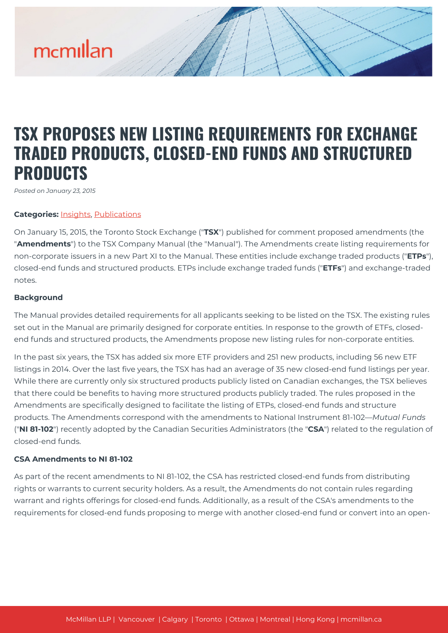# mcmillan

# **TSX PROPOSES NEW LISTING REQUIREMENTS FOR EXCHANGE TRADED PRODUCTS, CLOSED-END FUNDS AND STRUCTURED PRODUCTS**

*Posted on January 23, 2015*

#### **Categories:** [Insights,](https://mcmillan.ca/insights/) [Publications](https://mcmillan.ca/insights/publications/)

On January 15, 2015, the Toronto Stock Exchange ("**TSX**") published for comment proposed amendments (the "**Amendments**") to the TSX Company Manual (the "Manual"). The Amendments create listing requirements for non-corporate issuers in a new Part XI to the Manual. These entities include exchange traded products ("**ETPs**"), closed-end funds and structured products. ETPs include exchange traded funds ("**ETFs**") and exchange-traded notes.

#### **Background**

The Manual provides detailed requirements for all applicants seeking to be listed on the TSX. The existing rules set out in the Manual are primarily designed for corporate entities. In response to the growth of ETFs, closedend funds and structured products, the Amendments propose new listing rules for non-corporate entities.

In the past six years, the TSX has added six more ETF providers and 251 new products, including 56 new ETF listings in 2014. Over the last five years, the TSX has had an average of 35 new closed-end fund listings per year. While there are currently only six structured products publicly listed on Canadian exchanges, the TSX believes that there could be benefits to having more structured products publicly traded. The rules proposed in the Amendments are specifically designed to facilitate the listing of ETPs, closed-end funds and structure products. The Amendments correspond with the amendments to National Instrument 81-102—*Mutual Funds* ("**NI 81-102**") recently adopted by the Canadian Securities Administrators (the "**CSA**") related to the regulation of closed-end funds.

#### **CSA Amendments to NI 81-102**

As part of the recent amendments to NI 81-102, the CSA has restricted closed-end funds from distributing rights or warrants to current security holders. As a result, the Amendments do not contain rules regarding warrant and rights offerings for closed-end funds. Additionally, as a result of the CSA's amendments to the requirements for closed-end funds proposing to merge with another closed-end fund or convert into an open-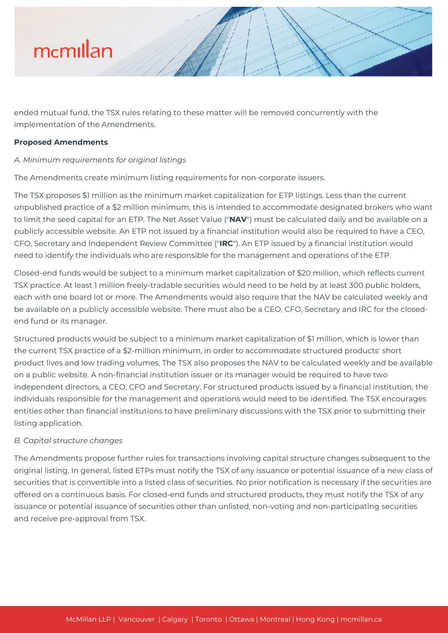

ended mutual fund, the TSX rules relating to these matter will be removed concurrently with the implementation of the Amendments.

#### **Proposed Amendments**

# *A. Minimum requirements for original listings*

The Amendments create minimum listing requirements for non-corporate issuers.

The TSX proposes \$1 million as the minimum market capitalization for ETP listings. Less than the current unpublished practice of a \$2 million minimum, this is intended to accommodate designated brokers who want to limit the seed capital for an ETP. The Net Asset Value ("**NAV**") must be calculated daily and be available on a publicly accessible website. An ETP not issued by a financial institution would also be required to have a CEO, CFO, Secretary and Independent Review Committee ("**IRC**"). An ETP issued by a financial institution would need to identify the individuals who are responsible for the management and operations of the ETP.

Closed-end funds would be subject to a minimum market capitalization of \$20 million, which reflects current TSX practice. At least 1 million freely-tradable securities would need to be held by at least 300 public holders, each with one board lot or more. The Amendments would also require that the NAV be calculated weekly and be available on a publicly accessible website. There must also be a CEO, CFO, Secretary and IRC for the closedend fund or its manager.

Structured products would be subject to a minimum market capitalization of \$1 million, which is lower than the current TSX practice of a \$2-million minimum, in order to accommodate structured products' short product lives and low trading volumes. The TSX also proposes the NAV to be calculated weekly and be available on a public website. A non-financial institution issuer or its manager would be required to have two independent directors, a CEO, CFO and Secretary. For structured products issued by a financial institution, the individuals responsible for the management and operations would need to be identified. The TSX encourages entities other than financial institutions to have preliminary discussions with the TSX prior to submitting their listing application.

#### *B. Capital structure changes*

The Amendments propose further rules for transactions involving capital structure changes subsequent to the original listing. In general, listed ETPs must notify the TSX of any issuance or potential issuance of a new class of securities that is convertible into a listed class of securities. No prior notification is necessary if the securities are offered on a continuous basis. For closed-end funds and structured products, they must notify the TSX of any issuance or potential issuance of securities other than unlisted, non-voting and non-participating securities and receive pre-approval from TSX.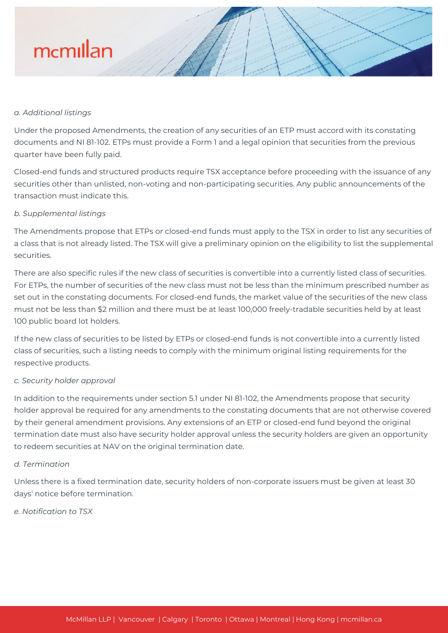# mcmillan

### *a. Additional listings*

Under the proposed Amendments, the creation of any securities of an ETP must accord with its constating documents and NI 81-102. ETPs must provide a Form 1 and a legal opinion that securities from the previous quarter have been fully paid.

Closed-end funds and structured products require TSX acceptance before proceeding with the issuance of any securities other than unlisted, non-voting and non-participating securities. Any public announcements of the transaction must indicate this.

### *b. Supplemental listings*

The Amendments propose that ETPs or closed-end funds must apply to the TSX in order to list any securities of a class that is not already listed. The TSX will give a preliminary opinion on the eligibility to list the supplemental securities.

There are also specific rules if the new class of securities is convertible into a currently listed class of securities. For ETPs, the number of securities of the new class must not be less than the minimum prescribed number as set out in the constating documents. For closed-end funds, the market value of the securities of the new class must not be less than \$2 million and there must be at least 100,000 freely-tradable securities held by at least 100 public board lot holders.

If the new class of securities to be listed by ETPs or closed-end funds is not convertible into a currently listed class of securities, such a listing needs to comply with the minimum original listing requirements for the respective products.

#### *c. Security holder approval*

In addition to the requirements under section 5.1 under NI 81-102, the Amendments propose that security holder approval be required for any amendments to the constating documents that are not otherwise covered by their general amendment provisions. Any extensions of an ETP or closed-end fund beyond the original termination date must also have security holder approval unless the security holders are given an opportunity to redeem securities at NAV on the original termination date.

### *d. Termination*

Unless there is a fixed termination date, security holders of non-corporate issuers must be given at least 30 days' notice before termination.

*e. Notification to TSX*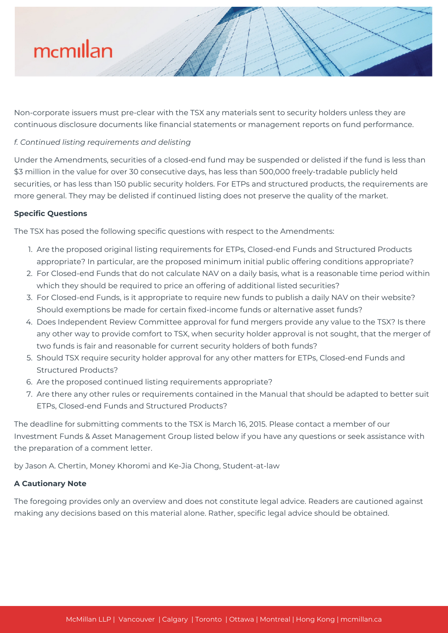# mcmillan

Non-corporate issuers must pre-clear with the TSX any materials sent to security holders unless they are continuous disclosure documents like financial statements or management reports on fund performance.

# *f. Continued listing requirements and delisting*

Under the Amendments, securities of a closed-end fund may be suspended or delisted if the fund is less than \$3 million in the value for over 30 consecutive days, has less than 500,000 freely-tradable publicly held securities, or has less than 150 public security holders. For ETPs and structured products, the requirements are more general. They may be delisted if continued listing does not preserve the quality of the market.

# **Specific Questions**

The TSX has posed the following specific questions with respect to the Amendments:

- 1. Are the proposed original listing requirements for ETPs, Closed-end Funds and Structured Products appropriate? In particular, are the proposed minimum initial public offering conditions appropriate?
- 2. For Closed-end Funds that do not calculate NAV on a daily basis, what is a reasonable time period within which they should be required to price an offering of additional listed securities?
- 3. For Closed-end Funds, is it appropriate to require new funds to publish a daily NAV on their website? Should exemptions be made for certain fixed-income funds or alternative asset funds?
- 4. Does Independent Review Committee approval for fund mergers provide any value to the TSX? Is there any other way to provide comfort to TSX, when security holder approval is not sought, that the merger of two funds is fair and reasonable for current security holders of both funds?
- 5. Should TSX require security holder approval for any other matters for ETPs, Closed-end Funds and Structured Products?
- 6. Are the proposed continued listing requirements appropriate?
- 7. Are there any other rules or requirements contained in the Manual that should be adapted to better suit ETPs, Closed-end Funds and Structured Products?

The deadline for submitting comments to the TSX is March 16, 2015. Please contact a member of our Investment Funds & Asset Management Group listed below if you have any questions or seek assistance with the preparation of a comment letter.

by Jason A. Chertin, Money Khoromi and Ke-Jia Chong, Student-at-law

# **A Cautionary Note**

The foregoing provides only an overview and does not constitute legal advice. Readers are cautioned against making any decisions based on this material alone. Rather, specific legal advice should be obtained.